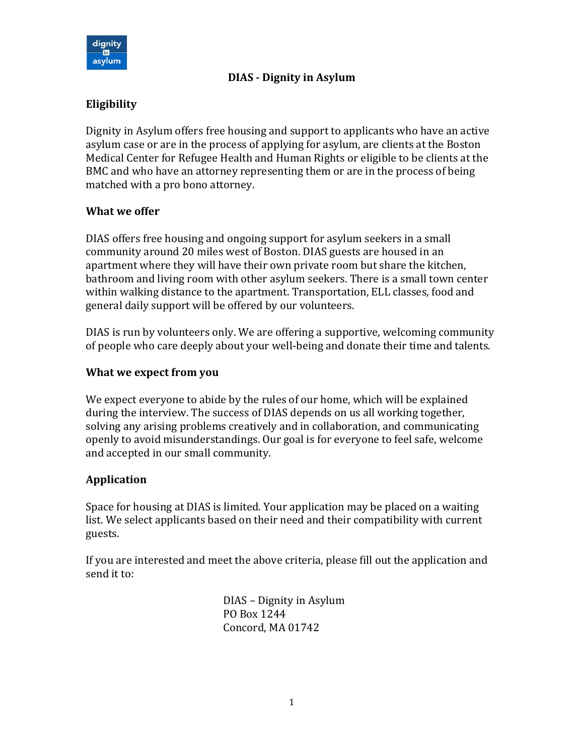

### **DIAS - Dignity in Asylum**

## **Eligibility**

Dignity in Asylum offers free housing and support to applicants who have an active asylum case or are in the process of applying for asylum, are clients at the Boston Medical Center for Refugee Health and Human Rights or eligible to be clients at the BMC and who have an attorney representing them or are in the process of being matched with a pro bono attorney.

### **What we offer**

DIAS offers free housing and ongoing support for asylum seekers in a small community around 20 miles west of Boston. DIAS guests are housed in an apartment where they will have their own private room but share the kitchen, bathroom and living room with other asylum seekers. There is a small town center within walking distance to the apartment. Transportation, ELL classes, food and general daily support will be offered by our volunteers.

DIAS is run by volunteers only. We are offering a supportive, welcoming community of people who care deeply about your well-being and donate their time and talents.

#### **What we expect from you**

We expect everyone to abide by the rules of our home, which will be explained during the interview. The success of DIAS depends on us all working together, solving any arising problems creatively and in collaboration, and communicating openly to avoid misunderstandings. Our goal is for everyone to feel safe, welcome and accepted in our small community.

#### **Application**

Space for housing at DIAS is limited. Your application may be placed on a waiting list. We select applicants based on their need and their compatibility with current guests.

If you are interested and meet the above criteria, please fill out the application and send it to:

> DIAS – Dignity in Asylum PO Box 1244 Concord, MA 01742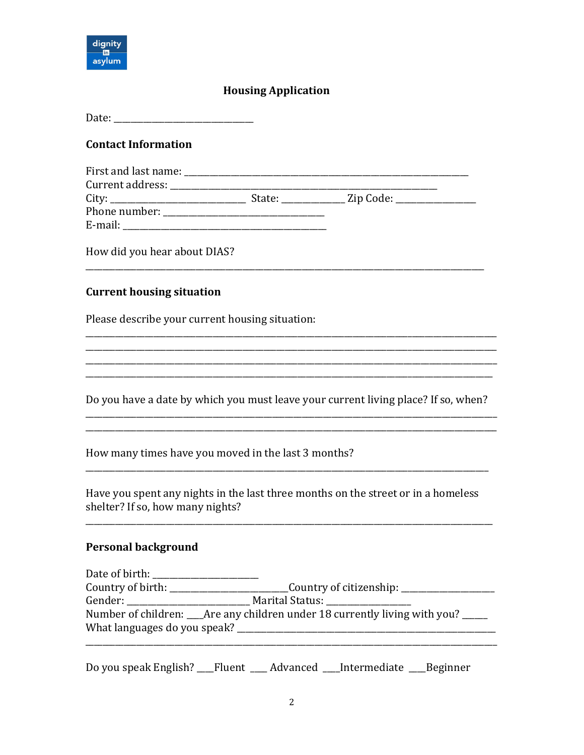

### **Housing Application**

#### **Contact Information**

| First and last name: |        |           |  |
|----------------------|--------|-----------|--|
| Current address:     |        |           |  |
| City:                | State: | Zip Code: |  |
| Phone number:        |        |           |  |
| E-mail:              |        |           |  |

How did you hear about DIAS?

#### **Current housing situation**

Please describe your current housing situation:

Do you have a date by which you must leave your current living place? If so, when? 

How many times have you moved in the last 3 months?

Have you spent any nights in the last three months on the street or in a homeless shelter? If so, how many nights?

#### **Personal background**

| Date of birth:               |                                                                                      |
|------------------------------|--------------------------------------------------------------------------------------|
| Country of birth:            | Country of citizenship:                                                              |
| Gender:                      | Marital Status:                                                                      |
|                              | Number of children: _____ Are any children under 18 currently living with you? _____ |
| What languages do you speak? |                                                                                      |

Do you speak English? \_\_\_Fluent \_\_\_ Advanced \_\_\_Intermediate \_\_\_Beginner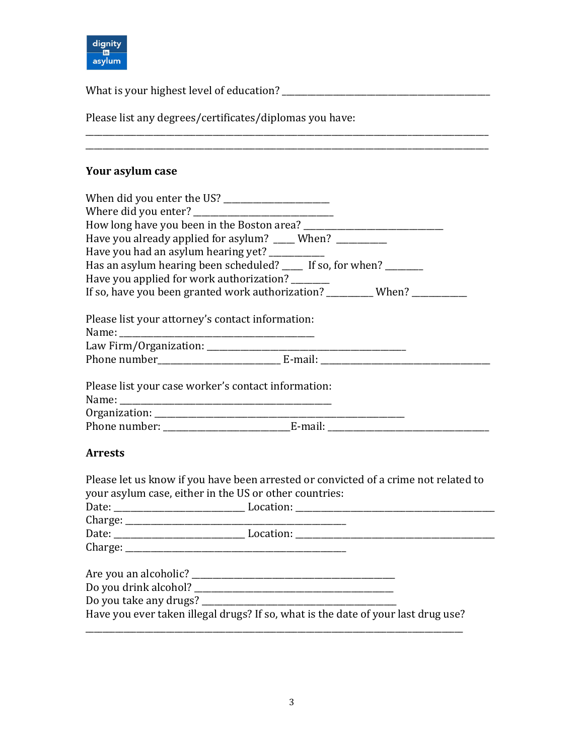

What is your highest level of education? \_\_\_\_\_\_\_\_\_\_\_\_\_\_\_\_\_\_\_\_\_\_\_\_\_\_\_\_\_\_\_\_\_\_\_\_\_\_\_\_\_\_\_\_\_\_\_\_\_

\_\_\_\_\_\_\_\_\_\_\_\_\_\_\_\_\_\_\_\_\_\_\_\_\_\_\_\_\_\_\_\_\_\_\_\_\_\_\_\_\_\_\_\_\_\_\_\_\_\_\_\_\_\_\_\_\_\_\_\_\_\_\_\_\_\_\_\_\_\_\_\_\_\_\_\_\_\_\_\_\_\_\_\_\_\_\_\_\_\_\_\_\_\_\_ \_\_\_\_\_\_\_\_\_\_\_\_\_\_\_\_\_\_\_\_\_\_\_\_\_\_\_\_\_\_\_\_\_\_\_\_\_\_\_\_\_\_\_\_\_\_\_\_\_\_\_\_\_\_\_\_\_\_\_\_\_\_\_\_\_\_\_\_\_\_\_\_\_\_\_\_\_\_\_\_\_\_\_\_\_\_\_\_\_\_\_\_\_\_\_

Please list any degrees/certificates/diplomas you have:

# **Your asylum case**

| Have you already applied for asylum? _____When? _________________________________ |  |
|-----------------------------------------------------------------------------------|--|
| Have you had an asylum hearing yet? __________                                    |  |
| Has an asylum hearing been scheduled? ____ If so, for when? _______               |  |
| Have you applied for work authorization?                                          |  |
| If so, have you been granted work authorization? __________When? _______________  |  |
| Please list your attorney's contact information:                                  |  |
|                                                                                   |  |
|                                                                                   |  |
|                                                                                   |  |
| Please list your case worker's contact information:                               |  |
|                                                                                   |  |
|                                                                                   |  |
|                                                                                   |  |
|                                                                                   |  |

# **Arrests**

| Please let us know if you have been arrested or convicted of a crime not related to |
|-------------------------------------------------------------------------------------|
| your asylum case, either in the US or other countries:                              |

| Have you ever taken illegal drugs? If so, what is the date of your last drug use? |
|-----------------------------------------------------------------------------------|

\_\_\_\_\_\_\_\_\_\_\_\_\_\_\_\_\_\_\_\_\_\_\_\_\_\_\_\_\_\_\_\_\_\_\_\_\_\_\_\_\_\_\_\_\_\_\_\_\_\_\_\_\_\_\_\_\_\_\_\_\_\_\_\_\_\_\_\_\_\_\_\_\_\_\_\_\_\_\_\_\_\_\_\_\_\_\_\_\_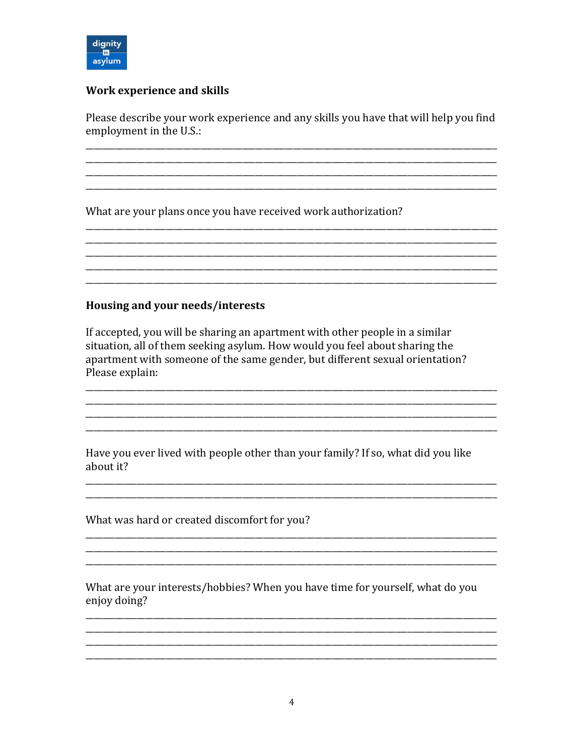

### Work experience and skills

Please describe your work experience and any skills you have that will help you find employment in the U.S.:

What are your plans once you have received work authorization?

#### Housing and your needs/interests

If accepted, you will be sharing an apartment with other people in a similar situation, all of them seeking asylum. How would you feel about sharing the apartment with someone of the same gender, but different sexual orientation? Please explain:

Have you ever lived with people other than your family? If so, what did you like about it?

What was hard or created discomfort for you?

What are your interests/hobbies? When you have time for yourself, what do you enjov doing?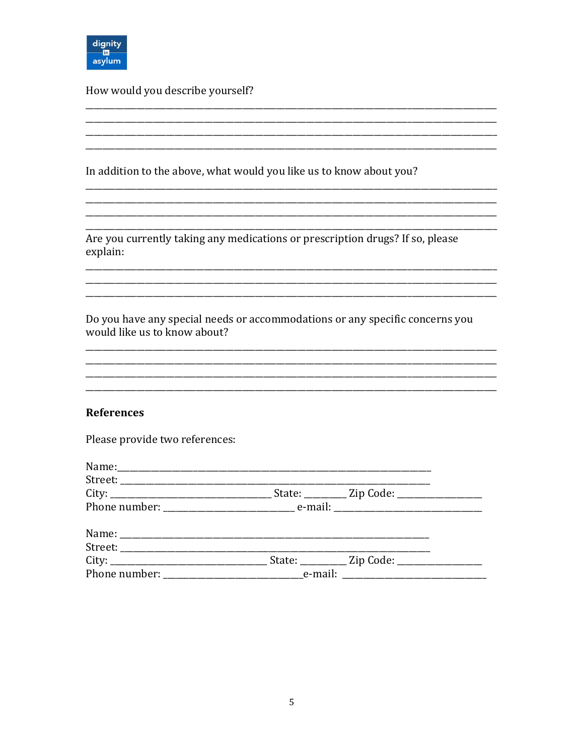

How would you describe yourself?

In addition to the above, what would you like us to know about you?

Are you currently taking any medications or prescription drugs? If so, please explain:

Do you have any special needs or accommodations or any specific concerns you would like us to know about?

#### **References**

Please provide two references:

| Phone number: equation of the e-mail: e-mail: e-mail: e-mail: e-mail: e-mail: e-mail: e-mail: e-mail: e-mail: e-mail: e-mail: e-mail: e-mail: e-mail: e-mail: e-mail: e-mail: e-mail: e-mail: e-mail: e-mail: e-mail: e-mail: |  |  |
|-------------------------------------------------------------------------------------------------------------------------------------------------------------------------------------------------------------------------------|--|--|